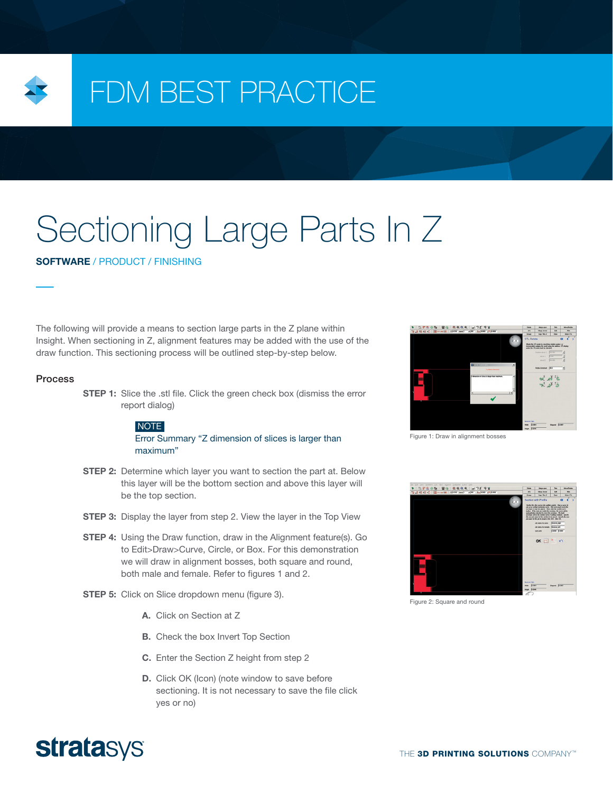

## FDM BEST PRACTICE

# Sectioning Large Parts In Z

SOFTWARE / PRODUCT / FINISHING

The following will provide a means to section large parts in the Z plane within Insight. When sectioning in Z, alignment features may be added with the use of the draw function. This sectioning process will be outlined step-by-step below.

#### **Process**

**STEP 1:** Slice the .stl file. Click the green check box (dismiss the error report dialog)

#### NOTE

Error Summary "Z dimension of slices is larger than maximum"

- **STEP 2:** Determine which layer you want to section the part at. Below this layer will be the bottom section and above this layer will be the top section.
- **STEP 3:** Display the layer from step 2. View the layer in the Top View
- **STEP 4:** Using the Draw function, draw in the Alignment feature(s). Go to Edit>Draw>Curve, Circle, or Box. For this demonstration we will draw in alignment bosses, both square and round, both male and female. Refer to figures 1 and 2.
- **STEP 5:** Click on Slice dropdown menu (figure 3).
	- A. Click on Section at Z
	- **B.** Check the box Invert Top Section
	- C. Enter the Section Z height from step 2
	- D. Click OK (Icon) (note window to save before sectioning. It is not necessary to save the file click yes or no)



Figure 1: Draw in alignment bosses



Figure 2: Square and round

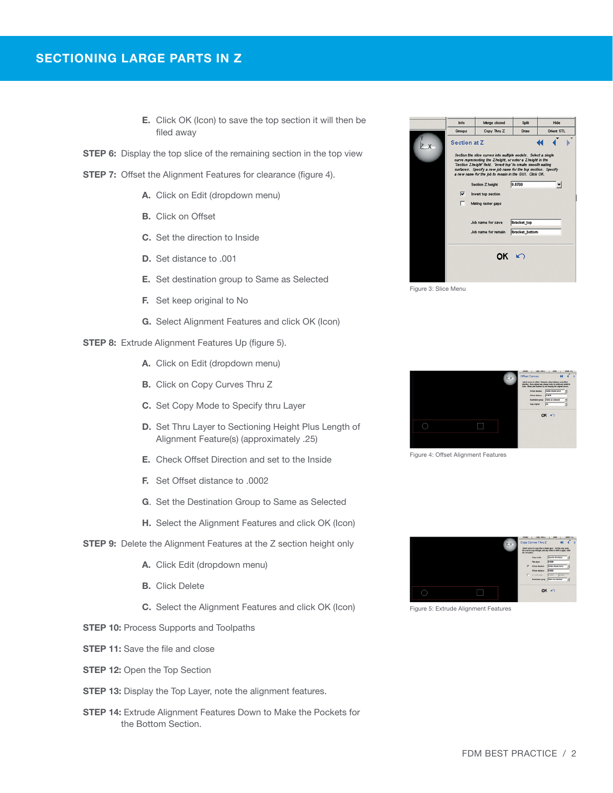- E. Click OK (Icon) to save the top section it will then be filed away
- **STEP 6:** Display the top slice of the remaining section in the top view
- **STEP 7:** Offset the Alignment Features for clearance (figure 4).
	- A. Click on Edit (dropdown menu)
	- **B.** Click on Offset
	- C. Set the direction to Inside
	- D. Set distance to .001
	- E. Set destination group to Same as Selected
	- F. Set keep original to No
	- G. Select Alignment Features and click OK (Icon)
- **STEP 8:** Extrude Alignment Features Up (figure 5).
	- A. Click on Edit (dropdown menu)
	- B. Click on Copy Curves Thru Z
	- C. Set Copy Mode to Specify thru Layer
	- D. Set Thru Layer to Sectioning Height Plus Length of Alignment Feature(s) (approximately .25)
	- E. Check Offset Direction and set to the Inside
	- F. Set Offset distance to .0002
	- G. Set the Destination Group to Same as Selected
	- H. Select the Alignment Features and click OK (Icon)
- **STEP 9:** Delete the Alignment Features at the Z section height only
	- A. Click Edit (dropdown menu)
	- B. Click Delete
	- C. Select the Alignment Features and click OK (Icon)
- **STEP 10: Process Supports and Toolpaths**
- **STEP 11:** Save the file and close
- **STEP 12: Open the Top Section**
- **STEP 13:** Display the Top Layer, note the alignment features.
- **STEP 14:** Extrude Alignment Features Down to Make the Pockets for the Bottom Section.



Figure 3: Slice Menu



Figure 4: Offset Alignment Features



Figure 5: Extrude Alignment Features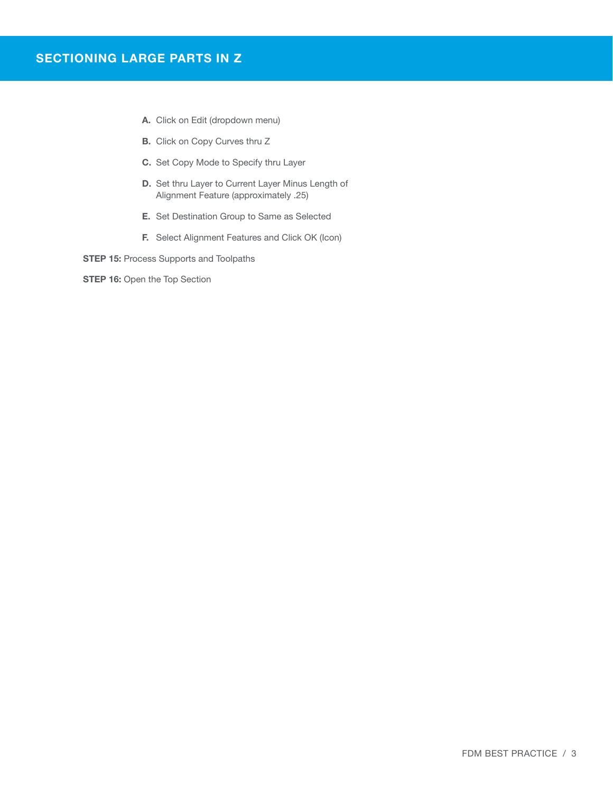- A. Click on Edit (dropdown menu)
- B. Click on Copy Curves thru Z
- C. Set Copy Mode to Specify thru Layer
- D. Set thru Layer to Current Layer Minus Length of Alignment Feature (approximately .25)
- E. Set Destination Group to Same as Selected
- F. Select Alignment Features and Click OK (Icon)
- **STEP 15: Process Supports and Toolpaths**

**STEP 16: Open the Top Section**